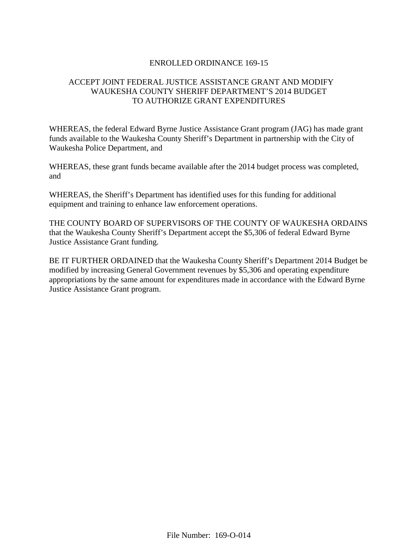### ENROLLED ORDINANCE 169-15

# ACCEPT JOINT FEDERAL JUSTICE ASSISTANCE GRANT AND MODIFY WAUKESHA COUNTY SHERIFF DEPARTMENT'S 2014 BUDGET TO AUTHORIZE GRANT EXPENDITURES

WHEREAS, the federal Edward Byrne Justice Assistance Grant program (JAG) has made grant funds available to the Waukesha County Sheriff's Department in partnership with the City of Waukesha Police Department, and

WHEREAS, these grant funds became available after the 2014 budget process was completed, and

WHEREAS, the Sheriff's Department has identified uses for this funding for additional equipment and training to enhance law enforcement operations.

THE COUNTY BOARD OF SUPERVISORS OF THE COUNTY OF WAUKESHA ORDAINS that the Waukesha County Sheriff's Department accept the \$5,306 of federal Edward Byrne Justice Assistance Grant funding.

BE IT FURTHER ORDAINED that the Waukesha County Sheriff's Department 2014 Budget be modified by increasing General Government revenues by \$5,306 and operating expenditure appropriations by the same amount for expenditures made in accordance with the Edward Byrne Justice Assistance Grant program.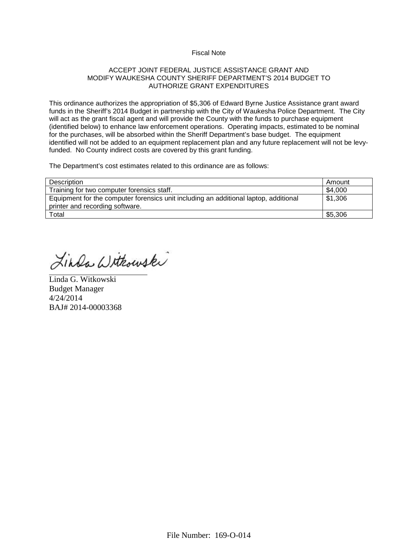#### Fiscal Note

#### ACCEPT JOINT FEDERAL JUSTICE ASSISTANCE GRANT AND MODIFY WAUKESHA COUNTY SHERIFF DEPARTMENT'S 2014 BUDGET TO AUTHORIZE GRANT EXPENDITURES

This ordinance authorizes the appropriation of \$5,306 of Edward Byrne Justice Assistance grant award funds in the Sheriff's 2014 Budget in partnership with the City of Waukesha Police Department. The City will act as the grant fiscal agent and will provide the County with the funds to purchase equipment (identified below) to enhance law enforcement operations. Operating impacts, estimated to be nominal for the purchases, will be absorbed within the Sheriff Department's base budget. The equipment identified will not be added to an equipment replacement plan and any future replacement will not be levyfunded. No County indirect costs are covered by this grant funding.

The Department's cost estimates related to this ordinance are as follows:

| Description                                                                          | Amount  |
|--------------------------------------------------------------------------------------|---------|
| Training for two computer forensics staff.                                           | \$4,000 |
| Equipment for the computer forensics unit including an additional laptop, additional | \$1,306 |
| printer and recording software.                                                      |         |
| Total                                                                                | \$5,306 |

Linda Withowski

Linda G. Witkowski Budget Manager 4/24/2014 BAJ# 2014-00003368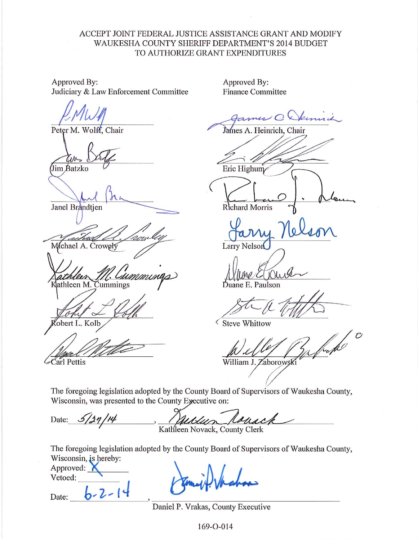# ACCEPT JOINT FEDERAL JUSTICE ASSISTANCE GRANT AND MODIFY WAUKESHA COUNTY SHERIFF DEPARTMENT'S 2014 BUDGET TO AUTHORIZE GRANT EXPENDITURES

Approved By: Judiciary & Law Enforcement Committee

Peter M. Wolff, Chair

(Jim Batzko

Janel Brandtjen

Mchael A. Crowely

athleen M. Cummings

obert L. Kolb

 $\mathcal{L}$ Carl Pettis

Approved By: **Finance Committee** 

kimi  $\omega$ 

James A. Heinrich, Chair

Eric Highum

Richard Morris

**Larry Nelson** 

uane E. Paulson

**Steve Whittow** 

hupo William J. Zaborowsł

The foregoing legislation adopted by the County Board of Supervisors of Waukesha County, Wisconsin, was presented to the County Executive on:

Date: Kathleen Novack, County Clerk

The foregoing legislation adopted by the County Board of Supervisors of Waukesha County, Wisconsin, is hereby:

Approved: Vetoed:  $b - 2 -$ 

Date:

Daniel P. Vrakas, County Executive

169-O-014